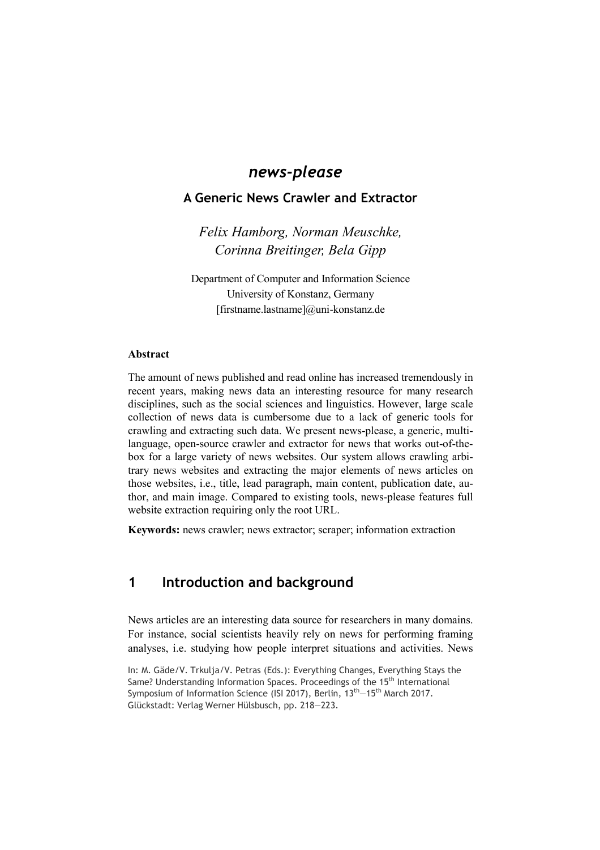# *news-please*

### **A Generic News Crawler and Extractor**

*Felix Hamborg, Norman Meuschke, Corinna Breitinger, Bela Gipp* 

Department of Computer and Information Science University of Konstanz, Germany [firstname.lastname]@uni-konstanz.de

#### **Abstract**

The amount of news published and read online has increased tremendously in recent years, making news data an interesting resource for many research disciplines, such as the social sciences and linguistics. However, large scale collection of news data is cumbersome due to a lack of generic tools for crawling and extracting such data. We present news-please, a generic, multilanguage, open-source crawler and extractor for news that works out-of-thebox for a large variety of news websites. Our system allows crawling arbitrary news websites and extracting the major elements of news articles on those websites, i.e., title, lead paragraph, main content, publication date, author, and main image. Compared to existing tools, news-please features full website extraction requiring only the root URL.

**Keywords:** news crawler; news extractor; scraper; information extraction

# **1 Introduction and background**

News articles are an interesting data source for researchers in many domains. For instance, social scientists heavily rely on news for performing framing analyses, i.e. studying how people interpret situations and activities. News

In: M. Gäde/V. Trkulja/V. Petras (Eds.): Everything Changes, Everything Stays the Same? Understanding Information Spaces. Proceedings of the 15<sup>th</sup> International Symposium of Information Science (ISI 2017), Berlin, 13<sup>th</sup> –15<sup>th</sup> March 2017. Glückstadt: Verlag Werner Hülsbusch, pp. 218—223.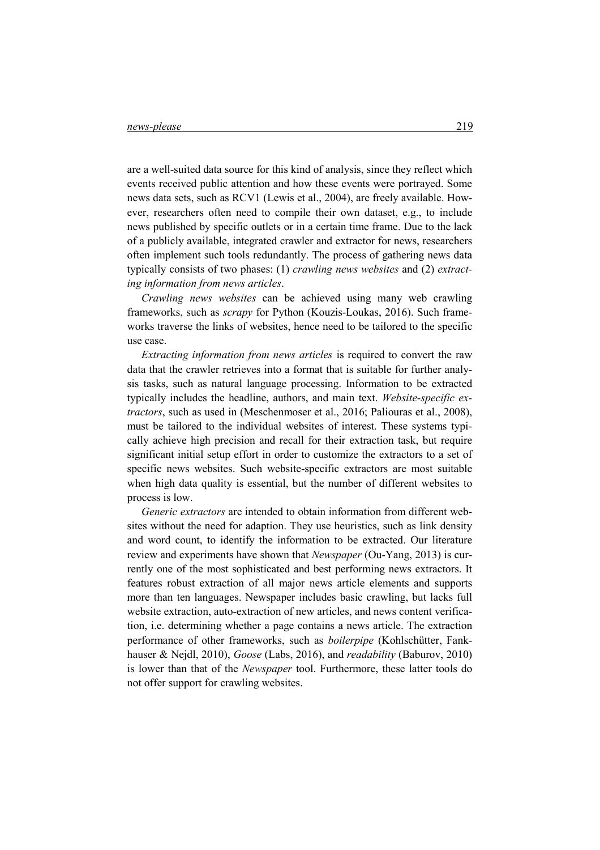are a well-suited data source for this kind of analysis, since they reflect which events received public attention and how these events were portrayed. Some news data sets, such as RCV1 (Lewis et al., 2004), are freely available. However, researchers often need to compile their own dataset, e.g., to include news published by specific outlets or in a certain time frame. Due to the lack of a publicly available, integrated crawler and extractor for news, researchers often implement such tools redundantly. The process of gathering news data typically consists of two phases: (1) *crawling news websites* and (2) *extracting information from news articles*.

*Crawling news websites* can be achieved using many web crawling frameworks, such as *scrapy* for Python (Kouzis-Loukas, 2016). Such frameworks traverse the links of websites, hence need to be tailored to the specific use case.

*Extracting information from news articles* is required to convert the raw data that the crawler retrieves into a format that is suitable for further analysis tasks, such as natural language processing. Information to be extracted typically includes the headline, authors, and main text. *Website-specific extractors*, such as used in (Meschenmoser et al., 2016; Paliouras et al., 2008), must be tailored to the individual websites of interest. These systems typically achieve high precision and recall for their extraction task, but require significant initial setup effort in order to customize the extractors to a set of specific news websites. Such website-specific extractors are most suitable when high data quality is essential, but the number of different websites to process is low.

*Generic extractors* are intended to obtain information from different websites without the need for adaption. They use heuristics, such as link density and word count, to identify the information to be extracted. Our literature review and experiments have shown that *Newspaper* (Ou-Yang, 2013) is currently one of the most sophisticated and best performing news extractors. It features robust extraction of all major news article elements and supports more than ten languages. Newspaper includes basic crawling, but lacks full website extraction, auto-extraction of new articles, and news content verification, i.e. determining whether a page contains a news article. The extraction performance of other frameworks, such as *boilerpipe* (Kohlschütter, Fankhauser & Nejdl, 2010), *Goose* (Labs, 2016), and *readability* (Baburov, 2010) is lower than that of the *Newspaper* tool. Furthermore, these latter tools do not offer support for crawling websites.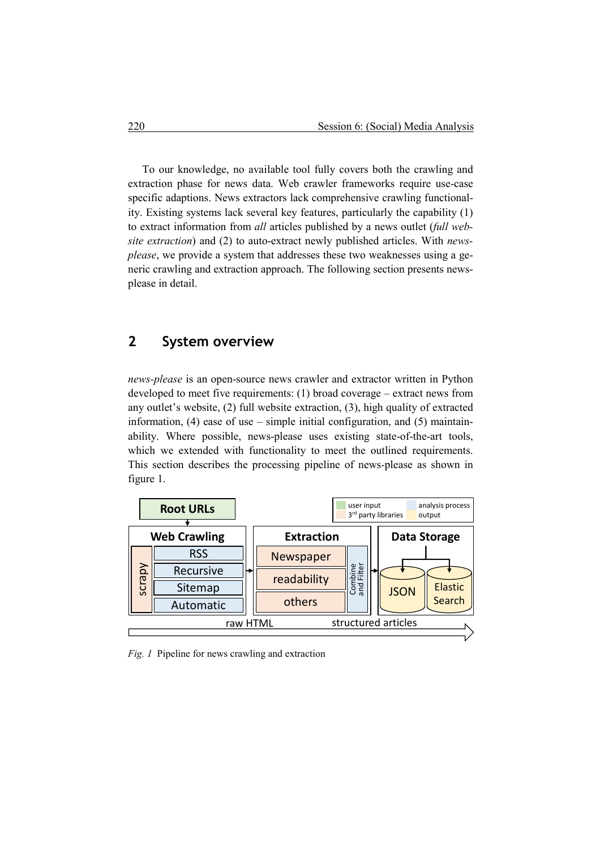To our knowledge, no available tool fully covers both the crawling and extraction phase for news data. Web crawler frameworks require use-case specific adaptions. News extractors lack comprehensive crawling functionality. Existing systems lack several key features, particularly the capability (1) to extract information from *all* articles published by a news outlet (*full website extraction*) and (2) to auto-extract newly published articles. With *newsplease*, we provide a system that addresses these two weaknesses using a generic crawling and extraction approach. The following section presents newsplease in detail.

### **2 System overview**

*news-please* is an open-source news crawler and extractor written in Python developed to meet five requirements: (1) broad coverage – extract news from any outlet's website, (2) full website extraction, (3), high quality of extracted information,  $(4)$  ease of use – simple initial configuration, and  $(5)$  maintainability. Where possible, news-please uses existing state-of-the-art tools, which we extended with functionality to meet the outlined requirements. This section describes the processing pipeline of news-please as shown in figure 1.



*Fig. 1* Pipeline for news crawling and extraction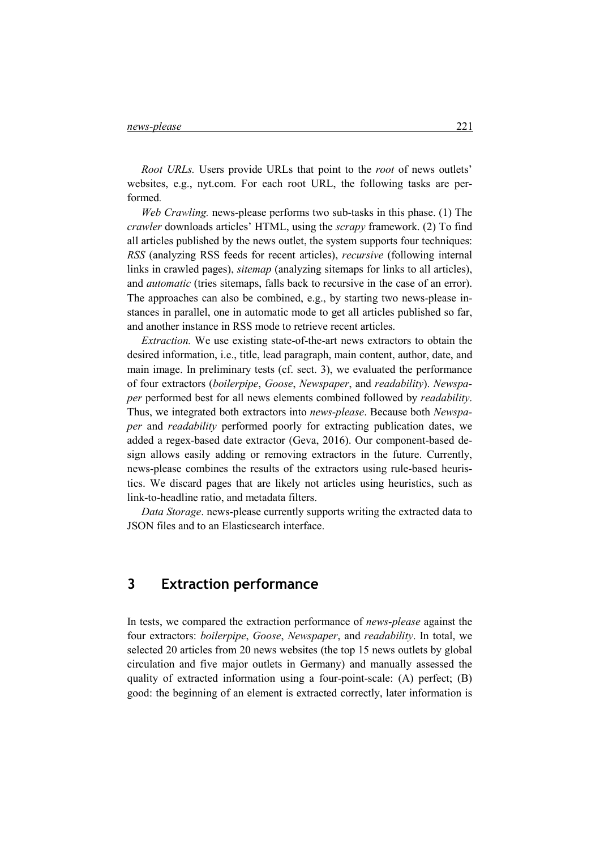*Root URLs.* Users provide URLs that point to the *root* of news outlets' websites, e.g., nyt.com. For each root URL, the following tasks are performed*.* 

*Web Crawling.* news-please performs two sub-tasks in this phase. (1) The *crawler* downloads articles' HTML, using the *scrapy* framework. (2) To find all articles published by the news outlet, the system supports four techniques: *RSS* (analyzing RSS feeds for recent articles), *recursive* (following internal links in crawled pages), *sitemap* (analyzing sitemaps for links to all articles), and *automatic* (tries sitemaps, falls back to recursive in the case of an error). The approaches can also be combined, e.g., by starting two news-please instances in parallel, one in automatic mode to get all articles published so far, and another instance in RSS mode to retrieve recent articles.

*Extraction.* We use existing state-of-the-art news extractors to obtain the desired information, i.e., title, lead paragraph, main content, author, date, and main image. In preliminary tests (cf. sect. 3), we evaluated the performance of four extractors (*boilerpipe*, *Goose*, *Newspaper*, and *readability*). *Newspaper* performed best for all news elements combined followed by *readability*. Thus, we integrated both extractors into *news-please*. Because both *Newspaper* and *readability* performed poorly for extracting publication dates, we added a regex-based date extractor (Geva, 2016). Our component-based design allows easily adding or removing extractors in the future. Currently, news-please combines the results of the extractors using rule-based heuristics. We discard pages that are likely not articles using heuristics, such as link-to-headline ratio, and metadata filters.

*Data Storage*. news-please currently supports writing the extracted data to JSON files and to an Elasticsearch interface.

# **3 Extraction performance**

In tests, we compared the extraction performance of *news-please* against the four extractors: *boilerpipe*, *Goose*, *Newspaper*, and *readability*. In total, we selected 20 articles from 20 news websites (the top 15 news outlets by global circulation and five major outlets in Germany) and manually assessed the quality of extracted information using a four-point-scale: (A) perfect; (B) good: the beginning of an element is extracted correctly, later information is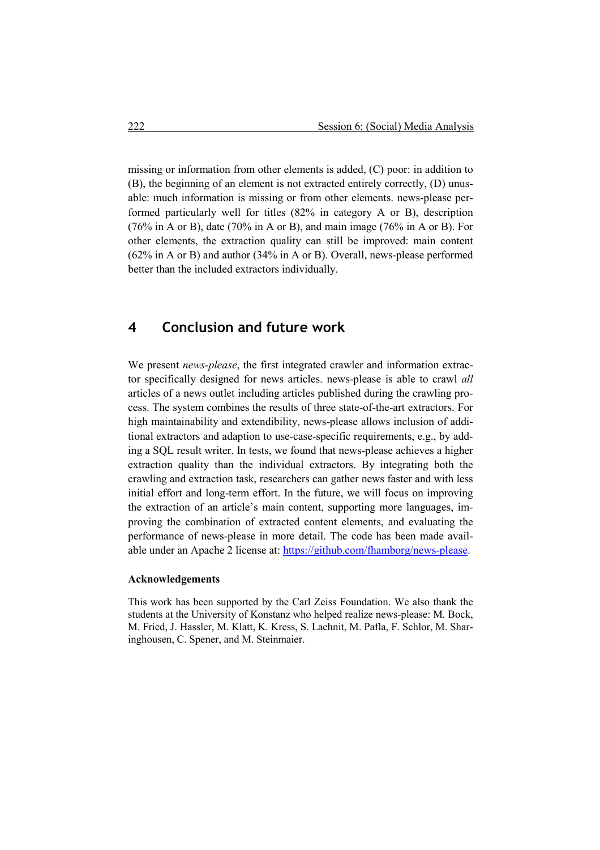missing or information from other elements is added, (C) poor: in addition to (B), the beginning of an element is not extracted entirely correctly, (D) unusable: much information is missing or from other elements. news-please performed particularly well for titles (82% in category A or B), description (76% in A or B), date (70% in A or B), and main image (76% in A or B). For other elements, the extraction quality can still be improved: main content (62% in A or B) and author (34% in A or B). Overall, news-please performed better than the included extractors individually.

# **4 Conclusion and future work**

We present *news-please*, the first integrated crawler and information extractor specifically designed for news articles. news-please is able to crawl *all* articles of a news outlet including articles published during the crawling process. The system combines the results of three state-of-the-art extractors. For high maintainability and extendibility, news-please allows inclusion of additional extractors and adaption to use-case-specific requirements, e.g., by adding a SQL result writer. In tests, we found that news-please achieves a higher extraction quality than the individual extractors. By integrating both the crawling and extraction task, researchers can gather news faster and with less initial effort and long-term effort. In the future, we will focus on improving the extraction of an article's main content, supporting more languages, improving the combination of extracted content elements, and evaluating the performance of news-please in more detail. The code has been made available under an Apache 2 license at: https://github.com/fhamborg/news-please.

#### **Acknowledgements**

This work has been supported by the Carl Zeiss Foundation. We also thank the students at the University of Konstanz who helped realize news-please: M. Bock, M. Fried, J. Hassler, M. Klatt, K. Kress, S. Lachnit, M. Pafla, F. Schlor, M. Sharinghousen, C. Spener, and M. Steinmaier.